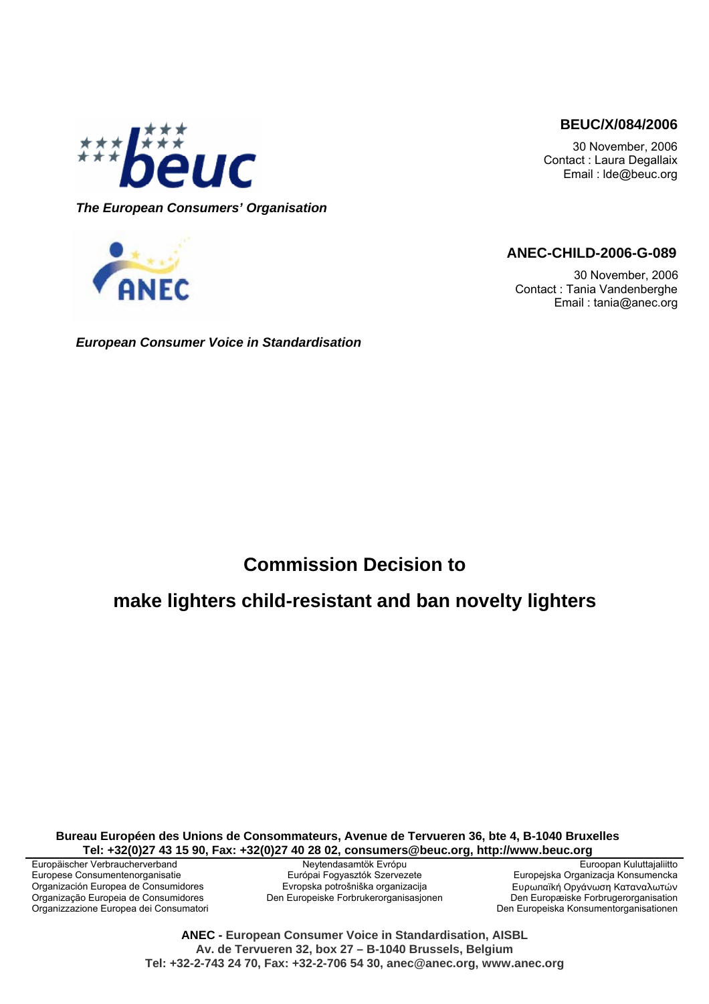#### **BEUC/X/084/2006**

30 November, 2006 Contact : Laura Degallaix Email : lde@beuc.org



*The European Consumers' Organisation* 



*European Consumer Voice in Standardisation* 

# **ANEC-CHILD-2006-G-089**

 30 November, 2006 Contact : Tania Vandenberghe Email : tania@anec.org

# **Commission Decision to**

# **make lighters child-resistant and ban novelty lighters**

**Bureau Européen des Unions de Consommateurs, Avenue de Tervueren 36, bte 4, B-1040 Bruxelles Tel: +32(0)27 43 15 90, Fax: +32(0)27 40 28 02, consumers@beuc.org, http://www.beuc.org** 

Organizzazione Europea dei Consumatori

Europäischer Verbraucherverband **Neytendasamtök Evrópu** Euroopan Kuluttajaliitto Euroopan Kuluttajaliitto Europese Consumentenorganisatie Európai Fogyasztók Szervezete Europejska Organizacja Konsumencka Organización Europea de Consumidores **Europska potrošniška organizacija** Eυρωπαϊκή Opyάνωση Kαταναλωτών<br>Crganizacão Europeia de Consumidores **Europeiske Europeiske Forbrukerorganisasionen** Den Europæiske Forbrugerorganisa Den Europeiske Forbrukerorganisasjonen Den Europæiske Forbrugerorganisationen Den Europæiske Forbrugerorganisationen

> **ANEC - European Consumer Voice in Standardisation, AISBL Av. de Tervueren 32, box 27 – B-1040 Brussels, Belgium Tel: +32-2-743 24 70, Fax: +32-2-706 54 30, anec@anec.org, www.anec.org**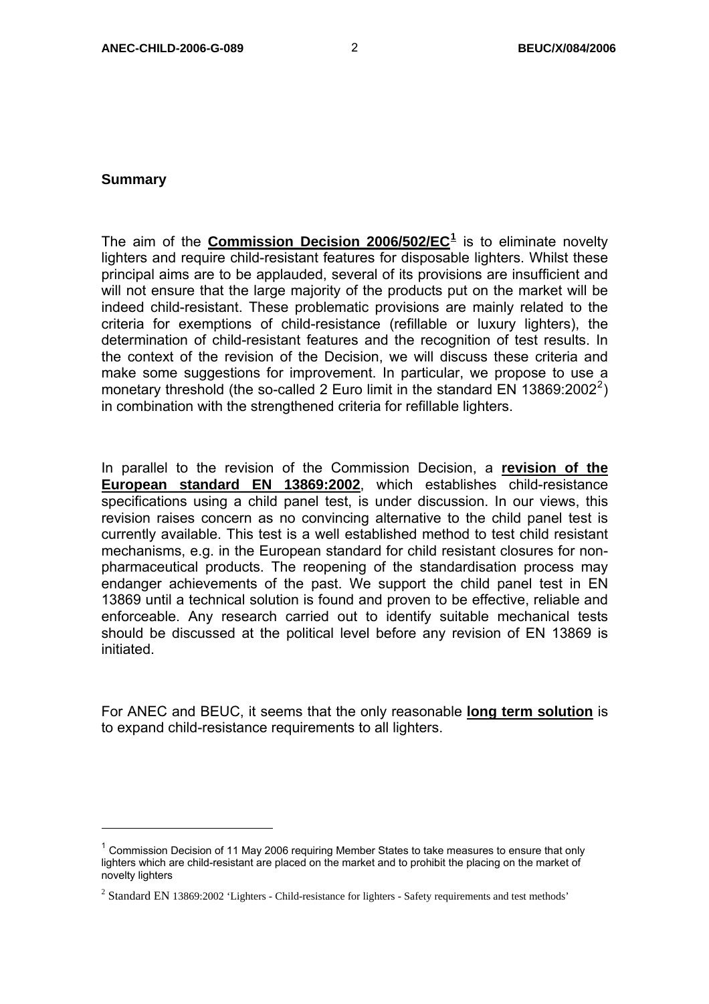#### **Summary**

The aim of the **Commission Decision 2006/502/EC[1](#page-1-0)** is to eliminate novelty lighters and require child-resistant features for disposable lighters. Whilst these principal aims are to be applauded, several of its provisions are insufficient and will not ensure that the large majority of the products put on the market will be indeed child-resistant. These problematic provisions are mainly related to the criteria for exemptions of child-resistance (refillable or luxury lighters), the determination of child-resistant features and the recognition of test results. In the context of the revision of the Decision, we will discuss these criteria and make some suggestions for improvement. In particular, we propose to use a monetary threshold (the so-called [2](#page-1-1) Euro limit in the standard EN 13869:2002<sup>2</sup>) in combination with the strengthened criteria for refillable lighters.

In parallel to the revision of the Commission Decision, a **revision of the European standard EN 13869:2002**, which establishes child-resistance specifications using a child panel test, is under discussion. In our views, this revision raises concern as no convincing alternative to the child panel test is currently available. This test is a well established method to test child resistant mechanisms, e.g. in the European standard for child resistant closures for nonpharmaceutical products. The reopening of the standardisation process may endanger achievements of the past. We support the child panel test in EN 13869 until a technical solution is found and proven to be effective, reliable and enforceable. Any research carried out to identify suitable mechanical tests should be discussed at the political level before any revision of EN 13869 is initiated.

For ANEC and BEUC, it seems that the only reasonable **long term solution** is to expand child-resistance requirements to all lighters.

<span id="page-1-0"></span> $1$  Commission Decision of 11 May 2006 requiring Member States to take measures to ensure that only lighters which are child-resistant are placed on the market and to prohibit the placing on the market of novelty lighters

<span id="page-1-1"></span><sup>&</sup>lt;sup>2</sup> Standard EN 13869:2002 'Lighters - Child-resistance for lighters - Safety requirements and test methods'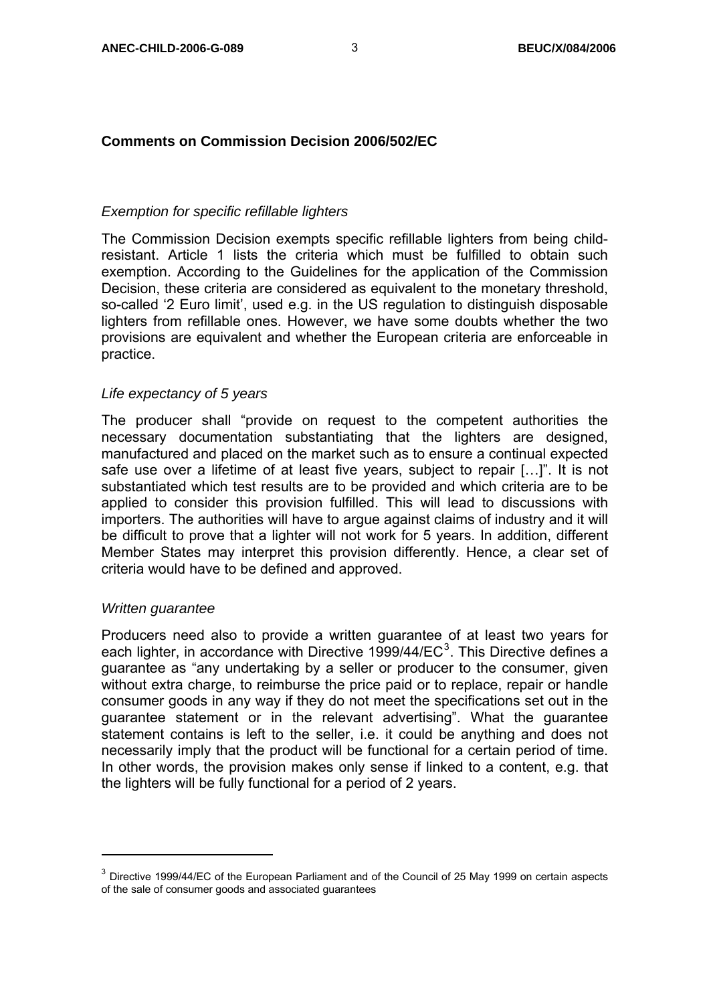#### **Comments on Commission Decision 2006/502/EC**

#### *Exemption for specific refillable lighters*

The Commission Decision exempts specific refillable lighters from being childresistant. Article 1 lists the criteria which must be fulfilled to obtain such exemption. According to the Guidelines for the application of the Commission Decision, these criteria are considered as equivalent to the monetary threshold, so-called '2 Euro limit', used e.g. in the US regulation to distinguish disposable lighters from refillable ones. However, we have some doubts whether the two provisions are equivalent and whether the European criteria are enforceable in practice.

#### *Life expectancy of 5 years*

The producer shall "provide on request to the competent authorities the necessary documentation substantiating that the lighters are designed, manufactured and placed on the market such as to ensure a continual expected safe use over a lifetime of at least five years, subject to repair […]". It is not substantiated which test results are to be provided and which criteria are to be applied to consider this provision fulfilled. This will lead to discussions with importers. The authorities will have to argue against claims of industry and it will be difficult to prove that a lighter will not work for 5 years. In addition, different Member States may interpret this provision differently. Hence, a clear set of criteria would have to be defined and approved.

#### *Written guarantee*

Producers need also to provide a written guarantee of at least two years for each lighter, in accordance with Directive 1999/44/EC<sup>[3](#page-2-0)</sup>. This Directive defines a guarantee as "any undertaking by a seller or producer to the consumer, given without extra charge, to reimburse the price paid or to replace, repair or handle consumer goods in any way if they do not meet the specifications set out in the guarantee statement or in the relevant advertising". What the guarantee statement contains is left to the seller, i.e. it could be anything and does not necessarily imply that the product will be functional for a certain period of time. In other words, the provision makes only sense if linked to a content, e.g. that the lighters will be fully functional for a period of 2 years.

<span id="page-2-0"></span> $3$  Directive 1999/44/EC of the European Parliament and of the Council of 25 May 1999 on certain aspects of the sale of consumer goods and associated guarantees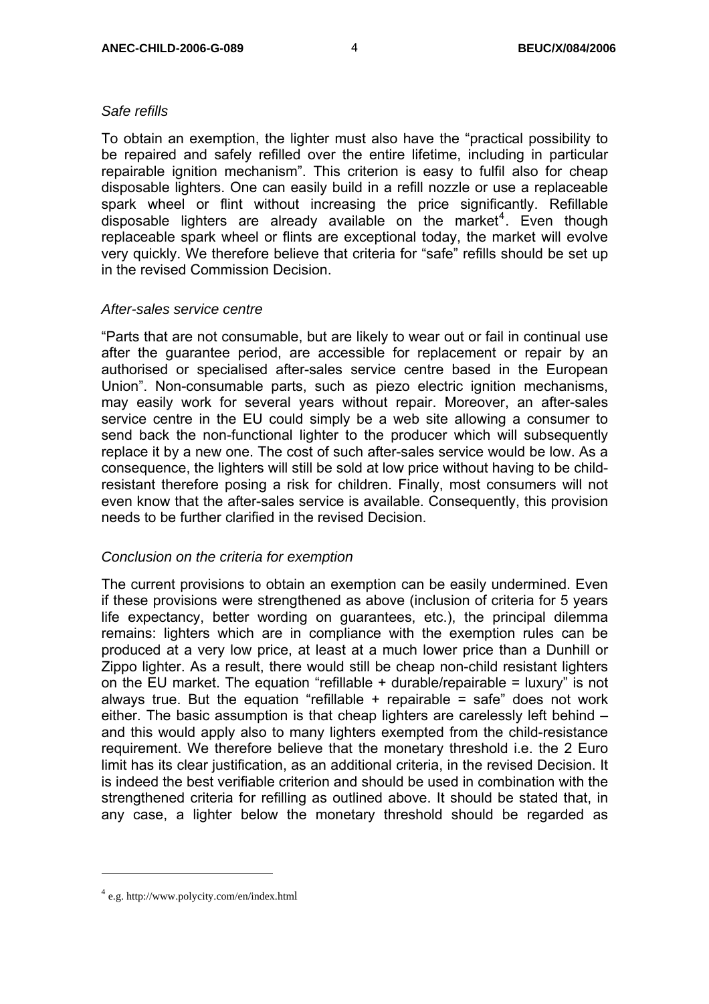#### *Safe refills*

To obtain an exemption, the lighter must also have the "practical possibility to be repaired and safely refilled over the entire lifetime, including in particular repairable ignition mechanism". This criterion is easy to fulfil also for cheap disposable lighters. One can easily build in a refill nozzle or use a replaceable spark wheel or flint without increasing the price significantly. Refillable disposable lighters are already available on the market<sup>[4](#page-3-0)</sup>. Even though replaceable spark wheel or flints are exceptional today, the market will evolve very quickly. We therefore believe that criteria for "safe" refills should be set up in the revised Commission Decision.

#### *After-sales service centre*

"Parts that are not consumable, but are likely to wear out or fail in continual use after the guarantee period, are accessible for replacement or repair by an authorised or specialised after-sales service centre based in the European Union". Non-consumable parts, such as piezo electric ignition mechanisms, may easily work for several years without repair. Moreover, an after-sales service centre in the EU could simply be a web site allowing a consumer to send back the non-functional lighter to the producer which will subsequently replace it by a new one. The cost of such after-sales service would be low. As a consequence, the lighters will still be sold at low price without having to be childresistant therefore posing a risk for children. Finally, most consumers will not even know that the after-sales service is available. Consequently, this provision needs to be further clarified in the revised Decision.

## *Conclusion on the criteria for exemption*

The current provisions to obtain an exemption can be easily undermined. Even if these provisions were strengthened as above (inclusion of criteria for 5 years life expectancy, better wording on guarantees, etc.), the principal dilemma remains: lighters which are in compliance with the exemption rules can be produced at a very low price, at least at a much lower price than a Dunhill or Zippo lighter. As a result, there would still be cheap non-child resistant lighters on the EU market. The equation "refillable  $+$  durable/repairable = luxury" is not always true. But the equation "refillable  $+$  repairable  $=$  safe" does not work either. The basic assumption is that cheap lighters are carelessly left behind – and this would apply also to many lighters exempted from the child-resistance requirement. We therefore believe that the monetary threshold i.e. the 2 Euro limit has its clear justification, as an additional criteria, in the revised Decision. It is indeed the best verifiable criterion and should be used in combination with the strengthened criteria for refilling as outlined above. It should be stated that, in any case, a lighter below the monetary threshold should be regarded as

<span id="page-3-0"></span><sup>4</sup> e.g. http://www.polycity.com/en/index.html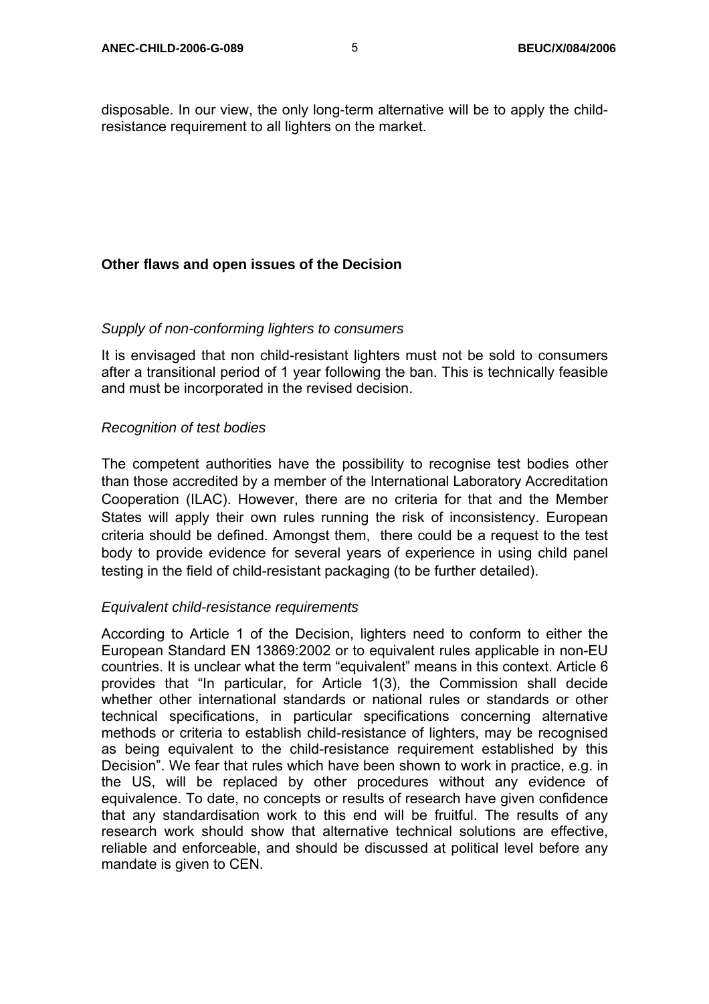disposable. In our view, the only long-term alternative will be to apply the childresistance requirement to all lighters on the market.

# **Other flaws and open issues of the Decision**

#### *Supply of non-conforming lighters to consumers*

It is envisaged that non child-resistant lighters must not be sold to consumers after a transitional period of 1 year following the ban. This is technically feasible and must be incorporated in the revised decision.

#### *Recognition of test bodies*

The competent authorities have the possibility to recognise test bodies other than those accredited by a member of the International Laboratory Accreditation Cooperation (ILAC). However, there are no criteria for that and the Member States will apply their own rules running the risk of inconsistency. European criteria should be defined. Amongst them, there could be a request to the test body to provide evidence for several years of experience in using child panel testing in the field of child-resistant packaging (to be further detailed).

#### *Equivalent child-resistance requirements*

According to Article 1 of the Decision, lighters need to conform to either the European Standard EN 13869:2002 or to equivalent rules applicable in non-EU countries. It is unclear what the term "equivalent" means in this context. Article 6 provides that "In particular, for Article 1(3), the Commission shall decide whether other international standards or national rules or standards or other technical specifications, in particular specifications concerning alternative methods or criteria to establish child-resistance of lighters, may be recognised as being equivalent to the child-resistance requirement established by this Decision". We fear that rules which have been shown to work in practice, e.g. in the US, will be replaced by other procedures without any evidence of equivalence. To date, no concepts or results of research have given confidence that any standardisation work to this end will be fruitful. The results of any research work should show that alternative technical solutions are effective, reliable and enforceable, and should be discussed at political level before any mandate is given to CEN.